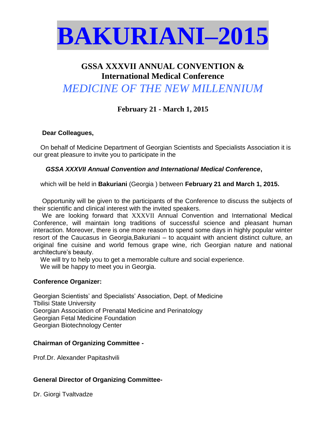

### **GSSA XXXVII ANNUAL CONVENTION & International Medical Conference**

## *MEDICINE OF THE NEW MILLENNIUM*

### **February 21 - March 1, 2015**

#### **Dear Colleagues,**

On behalf of Medicine Department of Georgian Scientists and Specialists Association it is our great pleasure to invite you to participate in the

 *GSSA XXXVII Annual Convention and International Medical Conference***,** 

which will be held in **Bakuriani** (Georgia ) between **February 21 and March 1, 2015.**

 Opportunity will be given to the participants of the Conference to discuss the subjects of their scientific and clinical interest with the invited speakers.

 We are looking forward that XXXVII Annual Convention and International Medical Conference, will maintain long traditions of successful science and pleasant human interaction. Moreover, there is one more reason to spend some days in highly popular winter resort of the Caucasus in Georgia,Bakuriani – to acquaint with ancient distinct culture, an original fine cuisine and world femous grape wine, rich Georgian nature and national architecture's beauty.

We will try to help you to get a memorable culture and social experience.

We will be happy to meet you in Georgia.

#### **Conference Organizer:**

Georgian Scientists' and Specialists' Association, Dept. of Medicine Tbilisi State University Georgian Association of Prenatal Medicine and Perinatology Georgian Fetal Medicine Foundation Georgian Biotechnology Center

#### **Chairman of Organizing Committee -**

Prof.Dr. Alexander Papitashvili

#### **General Director of Organizing Committee-**

Dr. Giorgi Tvaltvadze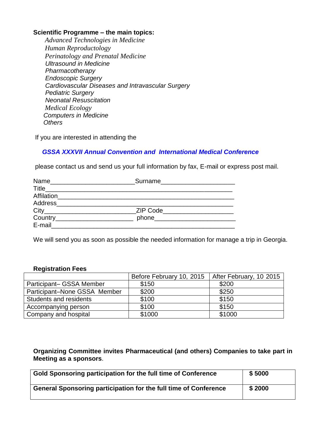#### **Scientific Programme – the main topics:**

 *Advanced Technologies in Medicine Human Reproductology Perinatology and Prenatal Medicine Ultrasound in Medicine Pharmacotherapy Endoscopic Surgery Cardiovascular Diseases and Intravascular Surgery Pediatric Surgery Neonatal Resuscitation Medical Ecology Computers in Medicine Others*

If you are interested in attending the

#### *GSSA XXXVII Annual Convention and International Medical Conference*

please contact us and send us your full information by fax, E-mail or express post mail.

| Name<br><u> 1980 - Jan Barbara, masonari masonari mengang pada 1990 - pada 2001. Sebagai perbedapan pada 2001 - pada 200</u> |                                 |  |
|------------------------------------------------------------------------------------------------------------------------------|---------------------------------|--|
| Title______________________                                                                                                  |                                 |  |
| Affilation___________________________________                                                                                |                                 |  |
| Address____                                                                                                                  |                                 |  |
|                                                                                                                              | <b>ZIP Code</b>                 |  |
| Country________________________                                                                                              | phone__________________________ |  |
| E-mail                                                                                                                       |                                 |  |

We will send you as soon as possible the needed information for manage a trip in Georgia.

#### **Registration Fees**

|                              | Before February 10, 2015 | After February, 10 2015 |
|------------------------------|--------------------------|-------------------------|
| Participant- GSSA Member     | \$150                    | \$200                   |
| Participant-None GSSA Member | \$200                    | \$250                   |
| Students and residents       | \$100                    | \$150                   |
| Accompanying person          | \$100                    | \$150                   |
| Company and hospital         | \$1000                   | \$1000                  |

**Organizing Committee invites Pharmaceutical (and others) Companies to take part in Meeting as a sponsors**.

| Gold Sponsoring participation for the full time of Conference    | \$5000 |
|------------------------------------------------------------------|--------|
| General Sponsoring participation for the full time of Conference | \$2000 |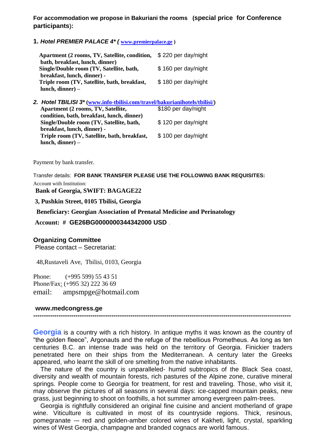**For accommodation we propose in Bakuriani the rooms (special price for Conference participants**)**:** 

**1.** *Hotel PREMIER PALACE 4\* (* **[www.premierpalace.ge](http://www.premierpalace.ge/) )**

| Apartment (2 rooms, TV, Satellite, condition,<br>bath, breakfast, lunch, dinner) | \$220 per day/night |
|----------------------------------------------------------------------------------|---------------------|
| Single/Double room (TV, Satellite, bath,                                         | \$160 per day/night |
| breakfast, lunch, dinner) -                                                      |                     |
| Triple room (TV, Satellite, bath, breakfast,                                     | \$180 per day/night |
| $lunch, dinner) -$                                                               |                     |
| 2. Hotel TBILISI 3* (www.info-tbilisi.com/travel/bakurianihotels/tbilisi/)       |                     |
| Apartment (2 rooms, TV, Satellite,                                               | \$180 per day/night |
| condition, bath, breakfast, lunch, dinner)                                       |                     |
| Single/Double room (TV, Satellite, bath,                                         | \$120 per day/night |
| breakfast, lunch, dinner) -                                                      |                     |
| Triple room (TV, Satellite, bath, breakfast,                                     | \$100 per day/night |
| lunch, dinner) –                                                                 |                     |

Payment by bank transfer.

Transfer details: **FOR BANK TRANSFER PLEASE USE THE FOLLOWING BANK REQUISITES:**

Account with Institution:

**Bank of Georgia, SWIFT: BAGAGE22** 

**3, Pushkin Street, 0105 Tbilisi, Georgia**

**Beneficiary: Georgian Association of Prenatal Medicine and Perinatology**

**Account: # GE26BG0000000344342000 USD** .

#### **Organizing Committee**

Please contact – Secretariat:

48,Rustaveli Ave, Tbilisi, 0103, Georgia

Phone: (+995 599) 55 43 51 Phone/Fax: (+995 32) 222 36 69 email: ampsmpge@hotmail.com

#### **www.medcongress.ge**

**--------------------------------------------------------------------------------------------------------------------------** 

**Georgia** is a country with a rich history. In antique myths it was known as the country of "the golden fleece", Argonauts and the refuge of the rebellious Prometheus. As long as ten centuries B.C. an intense trade was held on the territory of Georgia. Finickier traders penetrated here on their ships from the Mediterranean. A century later the Greeks appeared, who learnt the skill of ore smelting from the native inhabitants.

 The nature of the country is unparalleled- humid subtropics of the Black Sea coast, diversity and wealth of mountain forests, rich pastures of the Alpine zone, curative mineral springs. People come to Georgia for treatment, for rest and traveling. Those, who visit it, may observe the pictures of all seasons in several days: ice-capped mountain peaks, new grass, just beginning to shoot on foothills, a hot summer among evergreen palm-trees.

 Georgia is rightfully considered an original fine cuisine and ancient motherland of grape wine. Viticulture is cultivated in most of its countryside regions. Thick, resinous, pomegranate -- red and golden-amber colored wines of Kakheti, light, crystal, sparkling wines of West Georgia, champagne and branded cognacs are world famous.